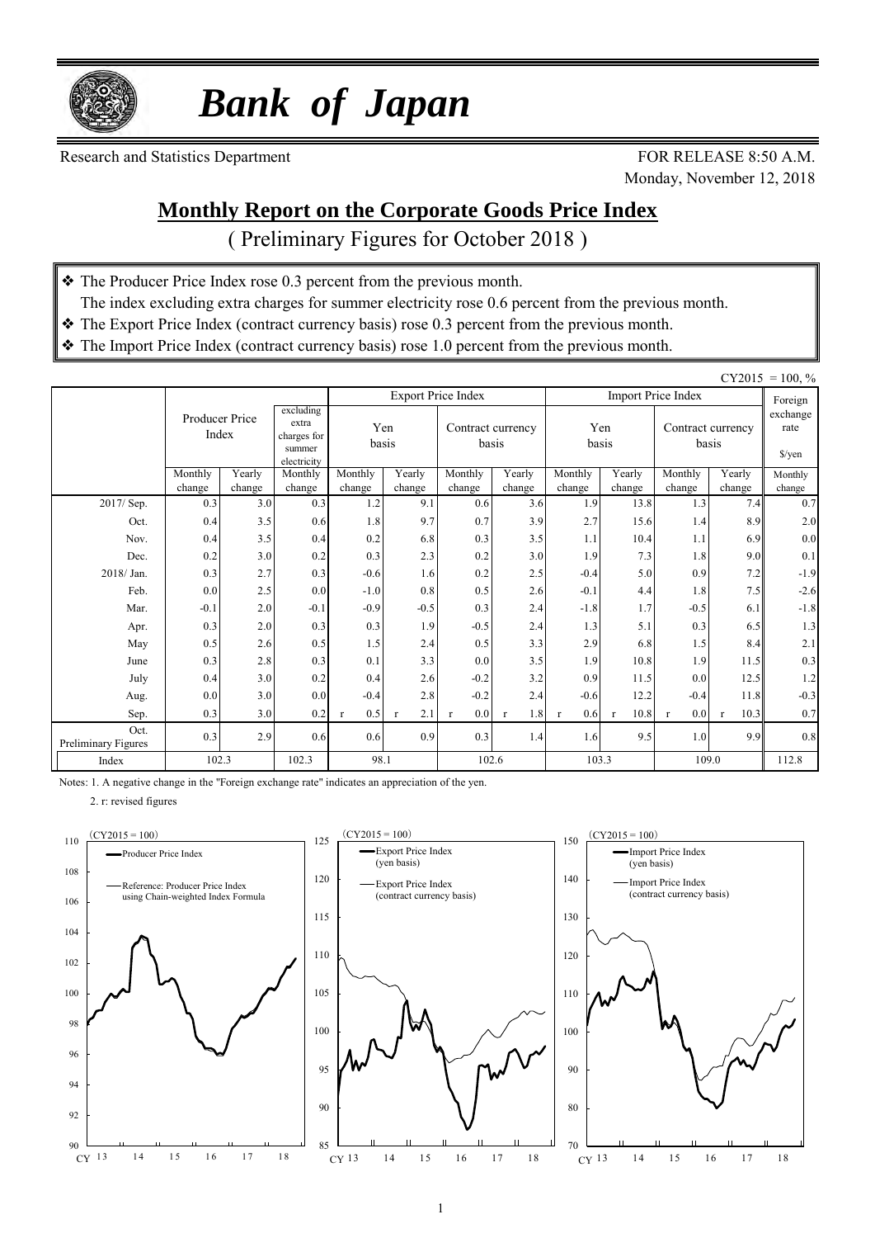

 *Bank of Japan*

Research and Statistics Department FOR RELEASE 8:50 A.M.

Monday, November 12, 2018

### **Monthly Report on the Corporate Goods Price Index**

( Preliminary Figures for October 2018 )

- ❖ The Producer Price Index rose 0.3 percent from the previous month.
- The index excluding extra charges for summer electricity rose 0.6 percent from the previous month.
- ❖ The Export Price Index (contract currency basis) rose 0.3 percent from the previous month.
- ❖ The Import Price Index (contract currency basis) rose 1.0 percent from the previous month.

|                             | $CY2015 = 100, \%$                                                                    |                  |                   |                     |                            |                           |                     |                     |                            |                           |                                            |                   |
|-----------------------------|---------------------------------------------------------------------------------------|------------------|-------------------|---------------------|----------------------------|---------------------------|---------------------|---------------------|----------------------------|---------------------------|--------------------------------------------|-------------------|
|                             |                                                                                       |                  |                   |                     |                            | <b>Export Price Index</b> |                     |                     |                            | <b>Import Price Index</b> |                                            | Foreign           |
|                             | excluding<br>Producer Price<br>extra<br>Index<br>charges for<br>summer<br>electricity |                  | Yen<br>basis      |                     | Contract currency<br>basis |                           | Yen<br>basis        |                     | Contract currency<br>basis |                           | exchange<br>rate<br>$\sqrt{\frac{2}{\pi}}$ |                   |
|                             | Monthly<br>change                                                                     | Yearly<br>change | Monthly<br>change | Monthly<br>change   | Yearly<br>change           | Monthly<br>change         | Yearly<br>change    | Monthly<br>change   | Yearly<br>change           | Monthly<br>change         | Yearly<br>change                           | Monthly<br>change |
| 2017/ Sep.                  | 0.3                                                                                   | 3.0              | 0.3               | 1.2                 | 9.1                        | 0.6                       | 3.6                 | 1.9                 | 13.8                       | 1.3                       | 7.4                                        | 0.7               |
| Oct.                        | 0.4                                                                                   | 3.5              | 0.6               | 1.8                 | 9.7                        | 0.7                       | 3.9                 | 2.7                 | 15.6                       | 1.4                       | 8.9                                        | 2.0               |
| Nov.                        | 0.4                                                                                   | 3.5              | 0.4               | 0.2                 | 6.8                        | 0.3                       | 3.5                 | 1.1                 | 10.4                       | 1.1                       | 6.9                                        | 0.0               |
| Dec.                        | 0.2                                                                                   | 3.0              | 0.2               | 0.3                 | 2.3                        | 0.2                       | 3.0                 | 1.9                 | 7.3                        | 1.8                       | 9.0                                        | 0.1               |
| 2018/Jan.                   | 0.3                                                                                   | 2.7              | 0.3               | $-0.6$              | 1.6                        | 0.2                       | 2.5                 | $-0.4$              | 5.0                        | 0.9                       | 7.2                                        | $-1.9$            |
| Feb.                        | 0.0                                                                                   | 2.5              | 0.0               | $-1.0$              | 0.8                        | 0.5                       | 2.6                 | $-0.1$              | 4.4                        | 1.8                       | 7.5                                        | $-2.6$            |
| Mar.                        | $-0.1$                                                                                | 2.0              | $-0.1$            | $-0.9$              | $-0.5$                     | 0.3                       | 2.4                 | $-1.8$              | 1.7                        | $-0.5$                    | 6.1                                        | $-1.8$            |
| Apr.                        | 0.3                                                                                   | 2.0              | 0.3               | 0.3                 | 1.9                        | $-0.5$                    | 2.4                 | 1.3                 | 5.1                        | 0.3                       | 6.5                                        | 1.3               |
| May                         | 0.5                                                                                   | 2.6              | 0.5               | 1.5                 | 2.4                        | 0.5                       | 3.3                 | 2.9                 | 6.8                        | 1.5                       | 8.4                                        | 2.1               |
| June                        | 0.3                                                                                   | 2.8              | 0.3               | 0.1                 | 3.3                        | 0.0                       | 3.5                 | 1.9                 | 10.8                       | 1.9                       | 11.5                                       | 0.3               |
| July                        | 0.4                                                                                   | 3.0              | 0.2               | 0.4                 | 2.6                        | $-0.2$                    | 3.2                 | 0.9                 | 11.5                       | 0.0                       | 12.5                                       | $1.2\,$           |
| Aug.                        | 0.0                                                                                   | 3.0              | 0.0               | $-0.4$              | 2.8                        | $-0.2$                    | 2.4                 | $-0.6$              | 12.2                       | $-0.4$                    | 11.8                                       | $-0.3$            |
| Sep.                        | 0.3                                                                                   | 3.0              | 0.2               | 0.5<br>$\mathbf{r}$ | 2.1<br>$\mathbf{r}$        | 0.0<br>r                  | 1.8<br>$\mathbf{r}$ | 0.6<br>$\mathbf{r}$ | 10.8                       | 0.0<br>$\mathbf{r}$       | 10.3<br>$\mathbf{r}$                       | 0.7               |
| Oct.<br>Preliminary Figures | 0.3                                                                                   | 2.9              | 0.6               | 0.6                 | 0.9                        | 0.3                       | 1.4                 | 1.6                 | 9.5                        | 1.0                       | 9.9                                        | 0.8               |
| Index                       | 102.3                                                                                 |                  | 102.3             | 98.1                |                            |                           | 102.6               | 103.3               |                            | 109.0                     |                                            | 112.8             |

Notes: 1. A negative change in the "Foreign exchange rate" indicates an appreciation of the yen.

2. r: revised figures





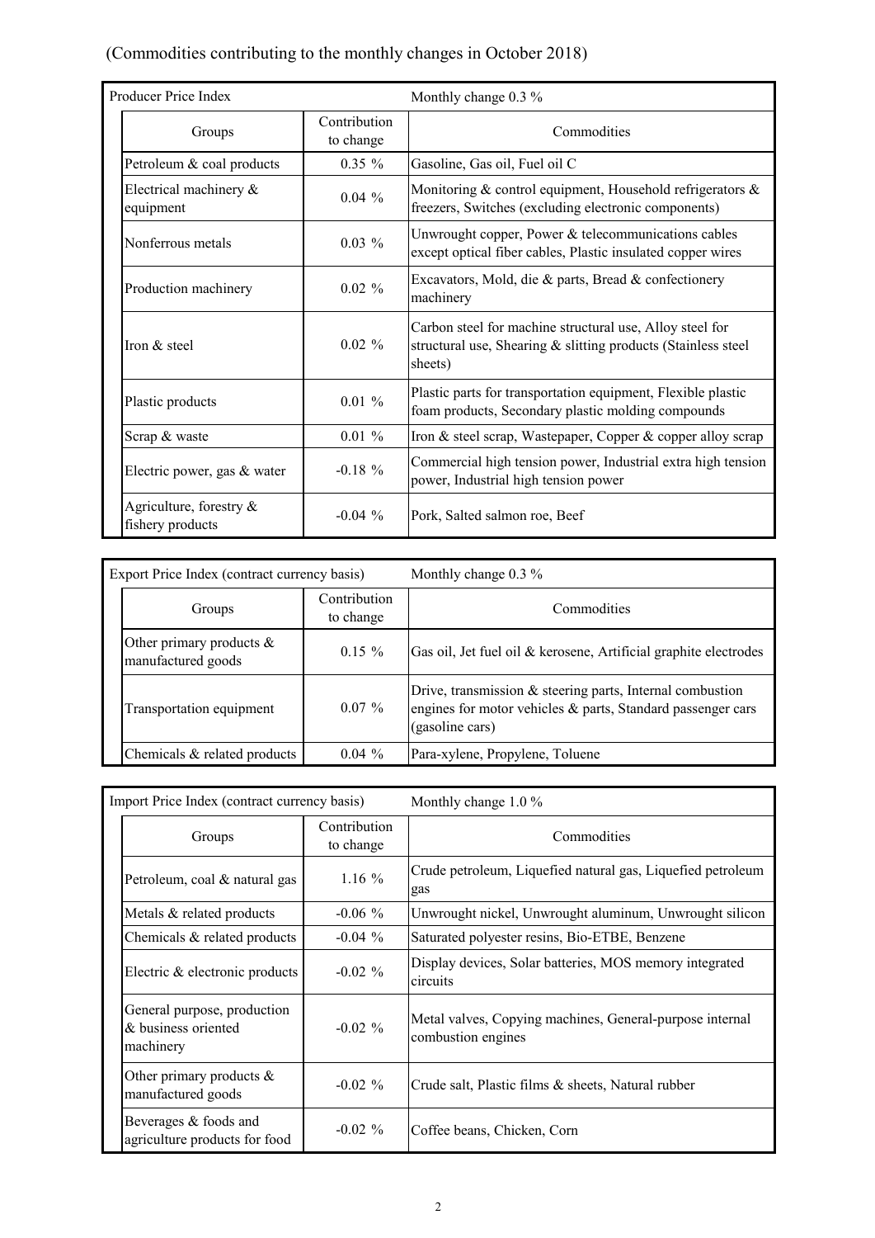## (Commodities contributing to the monthly changes in October 2018)

| Producer Price Index                        |                           | Monthly change 0.3 %                                                                                                                 |  |  |  |  |  |
|---------------------------------------------|---------------------------|--------------------------------------------------------------------------------------------------------------------------------------|--|--|--|--|--|
| Groups                                      | Contribution<br>to change | Commodities                                                                                                                          |  |  |  |  |  |
| Petroleum & coal products                   | $0.35 \%$                 | Gasoline, Gas oil, Fuel oil C                                                                                                        |  |  |  |  |  |
| Electrical machinery &<br>equipment         | $0.04\%$                  | Monitoring & control equipment, Household refrigerators &<br>freezers, Switches (excluding electronic components)                    |  |  |  |  |  |
| Nonferrous metals                           | $0.03\%$                  | Unwrought copper, Power & telecommunications cables<br>except optical fiber cables, Plastic insulated copper wires                   |  |  |  |  |  |
| Production machinery                        | $0.02 \%$                 | Excavators, Mold, die & parts, Bread & confectionery<br>machinery                                                                    |  |  |  |  |  |
| Iron & steel                                | $0.02 \%$                 | Carbon steel for machine structural use, Alloy steel for<br>structural use, Shearing & slitting products (Stainless steel<br>sheets) |  |  |  |  |  |
| Plastic products                            | $0.01\%$                  | Plastic parts for transportation equipment, Flexible plastic<br>foam products, Secondary plastic molding compounds                   |  |  |  |  |  |
| Scrap & waste                               | $0.01\%$                  | Iron & steel scrap, Wastepaper, Copper & copper alloy scrap                                                                          |  |  |  |  |  |
| Electric power, gas & water                 | $-0.18 \%$                | Commercial high tension power, Industrial extra high tension<br>power, Industrial high tension power                                 |  |  |  |  |  |
| Agriculture, forestry &<br>fishery products | $-0.04\%$                 | Pork, Salted salmon roe, Beef                                                                                                        |  |  |  |  |  |

| Export Price Index (contract currency basis)      |                           | Monthly change $0.3\%$                                                                                                                      |
|---------------------------------------------------|---------------------------|---------------------------------------------------------------------------------------------------------------------------------------------|
| Groups                                            | Contribution<br>to change | Commodities                                                                                                                                 |
| Other primary products $\&$<br>manufactured goods | $0.15 \%$                 | Gas oil, Jet fuel oil & kerosene, Artificial graphite electrodes                                                                            |
| Transportation equipment                          | $0.07\%$                  | Drive, transmission & steering parts, Internal combustion<br>engines for motor vehicles & parts, Standard passenger cars<br>(gasoline cars) |
| Chemicals & related products                      | $0.04\%$                  | Para-xylene, Propylene, Toluene                                                                                                             |

| Import Price Index (contract currency basis)                    |                           | Monthly change $1.0\%$                                                         |  |  |  |  |  |
|-----------------------------------------------------------------|---------------------------|--------------------------------------------------------------------------------|--|--|--|--|--|
| Groups                                                          | Contribution<br>to change | Commodities                                                                    |  |  |  |  |  |
| Petroleum, coal & natural gas                                   | $1.16\%$                  | Crude petroleum, Liquefied natural gas, Liquefied petroleum<br>gas             |  |  |  |  |  |
| Metals & related products                                       | $-0.06\%$                 | Unwrought nickel, Unwrought aluminum, Unwrought silicon                        |  |  |  |  |  |
| Chemicals $\&$ related products                                 | $-0.04\%$                 | Saturated polyester resins, Bio-ETBE, Benzene                                  |  |  |  |  |  |
| Electric & electronic products                                  | $-0.02\%$                 | Display devices, Solar batteries, MOS memory integrated<br>circuits            |  |  |  |  |  |
| General purpose, production<br>& business oriented<br>machinery | $-0.02\%$                 | Metal valves, Copying machines, General-purpose internal<br>combustion engines |  |  |  |  |  |
| Other primary products $\&$<br>$-0.02\%$<br>manufactured goods  |                           | Crude salt, Plastic films & sheets, Natural rubber                             |  |  |  |  |  |
| Beverages & foods and<br>agriculture products for food          | $-0.02 \%$                | Coffee beans, Chicken, Corn                                                    |  |  |  |  |  |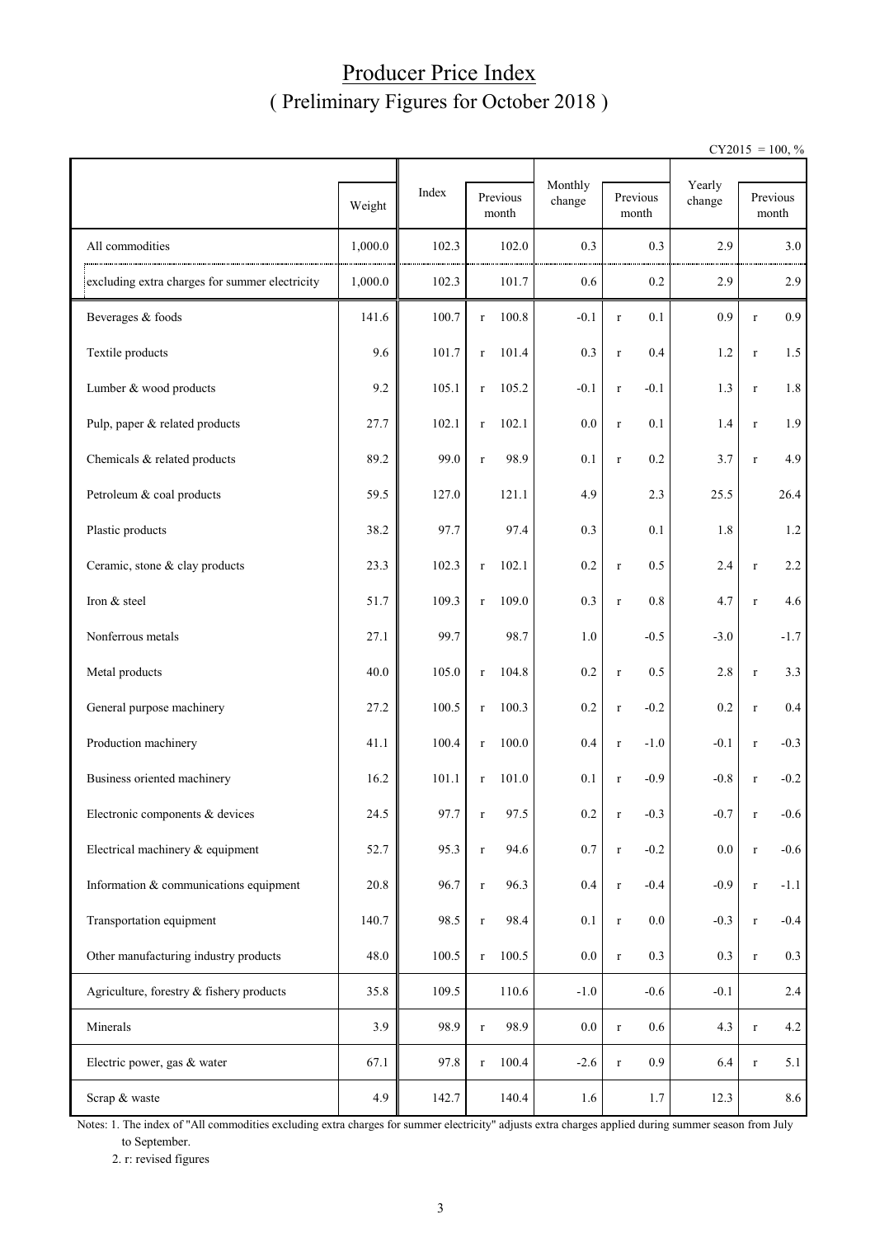## Producer Price Index ( Preliminary Figures for October 2018 )

 $CY2015 = 100, \%$ 

|                                                |         |       | Monthly               |         | Yearly                 |         |             |                   |
|------------------------------------------------|---------|-------|-----------------------|---------|------------------------|---------|-------------|-------------------|
|                                                | Weight  | Index | Previous<br>month     | change  | Previous<br>month      | change  |             | Previous<br>month |
| All commodities                                | 1,000.0 | 102.3 | 102.0                 | 0.3     | 0.3                    | 2.9     |             | 3.0               |
| excluding extra charges for summer electricity | 1,000.0 | 102.3 | 101.7                 | 0.6     | 0.2                    | 2.9     |             | 2.9               |
| Beverages & foods                              | 141.6   | 100.7 | 100.8<br>$\mathbf{r}$ | $-0.1$  | 0.1<br>$\mathbf r$     | 0.9     | $\mathbf r$ | 0.9 <sub>0</sub>  |
| Textile products                               | 9.6     | 101.7 | 101.4<br>$\mathbf r$  | 0.3     | 0.4<br>$\mathbf r$     | 1.2     | $\mathbf r$ | 1.5               |
| Lumber & wood products                         | 9.2     | 105.1 | 105.2<br>$\mathbf r$  | $-0.1$  | $-0.1$<br>$\mathbf r$  | 1.3     | $\mathbf r$ | $1.8\,$           |
| Pulp, paper & related products                 | 27.7    | 102.1 | 102.1<br>$\mathbf r$  | 0.0     | 0.1<br>$\mathbf r$     | 1.4     | $\mathbf r$ | 1.9               |
| Chemicals & related products                   | 89.2    | 99.0  | 98.9<br>$\mathbf r$   | 0.1     | 0.2<br>$\mathbf r$     | 3.7     | $\mathbf r$ | 4.9               |
| Petroleum & coal products                      | 59.5    | 127.0 | 121.1                 | 4.9     | 2.3                    | 25.5    |             | 26.4              |
| Plastic products                               | 38.2    | 97.7  | 97.4                  | 0.3     | 0.1                    | 1.8     |             | $1.2\,$           |
| Ceramic, stone & clay products                 | 23.3    | 102.3 | 102.1<br>$\mathbf r$  | 0.2     | 0.5<br>$\mathbf r$     | 2.4     | $\mathbf r$ | $2.2\,$           |
| Iron & steel                                   | 51.7    | 109.3 | 109.0<br>$\mathbf r$  | 0.3     | 0.8<br>$\mathbf r$     | 4.7     | $\mathbf r$ | 4.6               |
| Nonferrous metals                              | 27.1    | 99.7  | 98.7                  | 1.0     | $-0.5$                 | $-3.0$  |             | $-1.7$            |
| Metal products                                 | 40.0    | 105.0 | 104.8<br>$\mathbf r$  | 0.2     | 0.5<br>$\mathbf r$     | 2.8     | $\mathbf r$ | 3.3               |
| General purpose machinery                      | 27.2    | 100.5 | 100.3<br>$\mathbf r$  | 0.2     | $-0.2$<br>$\mathbf r$  | 0.2     | $\mathbf r$ | $0.4\,$           |
| Production machinery                           | 41.1    | 100.4 | 100.0<br>$\mathbf r$  | 0.4     | $-1.0$<br>$\mathbf r$  | $-0.1$  | $\mathbf r$ | $-0.3$            |
| Business oriented machinery                    | 16.2    | 101.1 | 101.0<br>$\mathbf{r}$ | 0.1     | $-0.9$<br>$\mathbf r$  | $-0.8$  | $\mathbf r$ | $-0.2$            |
| Electronic components & devices                | 24.5    | 97.7  | 97.5<br>r.            | 0.2     | $-0.3$                 | $-0.7$  | r           | $-0.6$            |
| Electrical machinery & equipment               | 52.7    | 95.3  | 94.6<br>$\mathbf r$   | 0.7     | $-0.2$<br>$\mathbf r$  | $0.0\,$ | $\mathbf r$ | $-0.6$            |
| Information & communications equipment         | 20.8    | 96.7  | 96.3<br>$\mathbf r$   | 0.4     | $-0.4$<br>$\mathbf r$  | $-0.9$  | $\mathbf r$ | $-1.1$            |
| Transportation equipment                       | 140.7   | 98.5  | 98.4<br>$\mathbf r$   | 0.1     | $0.0\,$<br>$\mathbf r$ | $-0.3$  | $\mathbf r$ | $-0.4$            |
| Other manufacturing industry products          | 48.0    | 100.5 | 100.5<br>$\mathbf r$  | $0.0\,$ | 0.3<br>$\mathbf r$     | 0.3     | $\mathbf r$ | 0.3               |
| Agriculture, forestry & fishery products       | 35.8    | 109.5 | 110.6                 | $-1.0$  | $-0.6$                 | $-0.1$  |             | 2.4               |
| Minerals                                       | 3.9     | 98.9  | 98.9<br>$\mathbf r$   | $0.0\,$ | $0.6\,$<br>$\mathbf r$ | 4.3     | $\mathbf r$ | 4.2               |
| Electric power, gas & water                    | 67.1    | 97.8  | 100.4<br>$\mathbf r$  | $-2.6$  | 0.9<br>$\mathbf r$     | 6.4     | $\mathbf r$ | 5.1               |
| Scrap & waste                                  | 4.9     | 142.7 | 140.4                 | 1.6     | 1.7                    | 12.3    |             | 8.6               |

Notes: 1. The index of "All commodities excluding extra charges for summer electricity" adjusts extra charges applied during summer season from July to September.

2. r: revised figures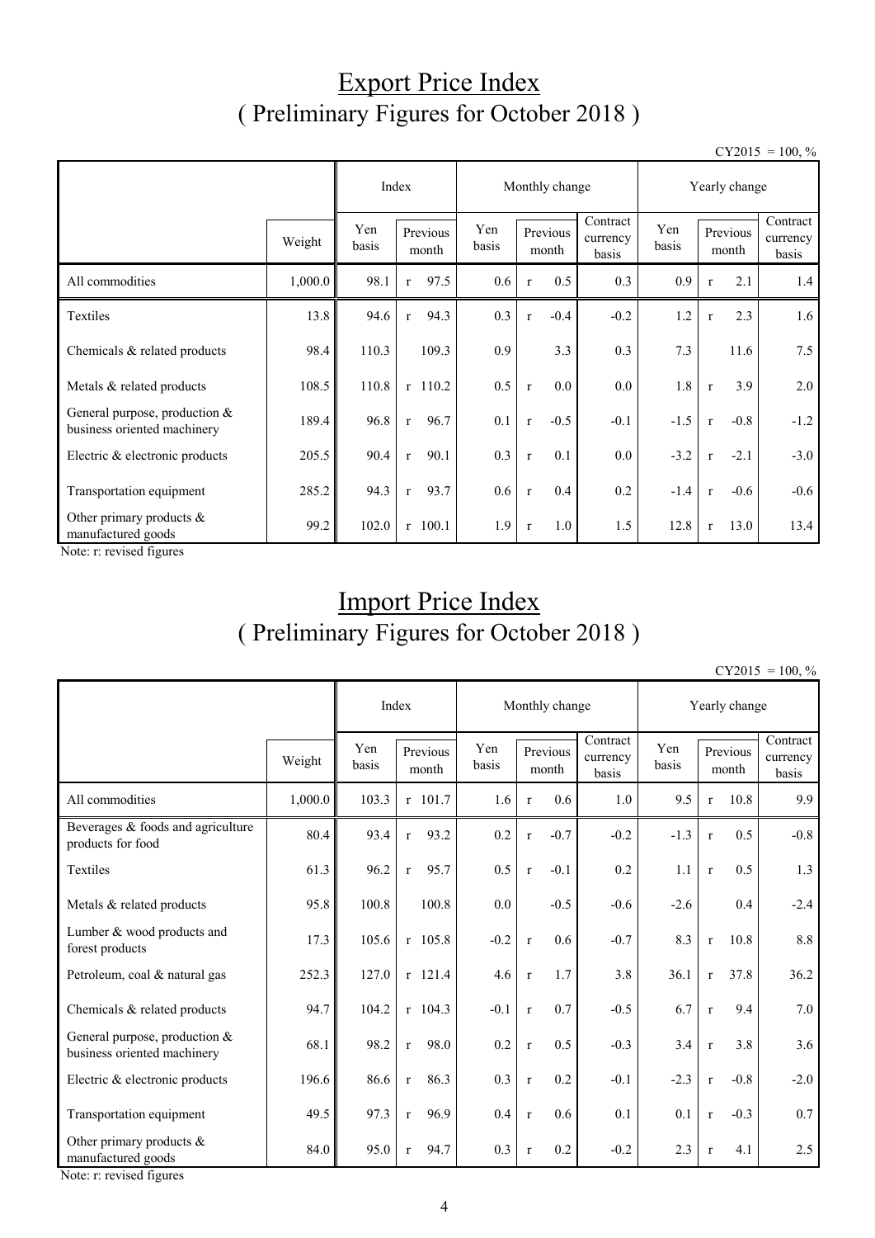## Export Price Index ( Preliminary Figures for October 2018 )

 $CY2015 = 100, \%$ 

|                                                                |         |              |                      |              | Monthly change         |                               | Yearly change |                        |                               |  |
|----------------------------------------------------------------|---------|--------------|----------------------|--------------|------------------------|-------------------------------|---------------|------------------------|-------------------------------|--|
|                                                                | Weight  | Yen<br>basis | Previous<br>month    | Yen<br>basis | Previous<br>month      | Contract<br>currency<br>basis | Yen<br>basis  | Previous<br>month      | Contract<br>currency<br>basis |  |
| All commodities                                                | 1,000.0 | 98.1         | 97.5<br>$\mathbf r$  | 0.6          | 0.5<br>$\mathbf{r}$    | 0.3                           | 0.9           | 2.1<br>$\mathbf{r}$    | 1.4                           |  |
| Textiles                                                       | 13.8    | 94.6         | 94.3<br>$\mathbf{r}$ | 0.3          | $-0.4$<br>$\mathbf{r}$ | $-0.2$                        | 1.2           | 2.3<br>$\mathbf{r}$    | 1.6                           |  |
| Chemicals & related products                                   | 98.4    | 110.3        | 109.3                | 0.9          | 3.3                    | 0.3                           | 7.3           | 11.6                   | 7.5                           |  |
| Metals & related products                                      | 108.5   | 110.8        | $r$ 110.2            | 0.5          | 0.0<br>$\mathbf{r}$    | $0.0\,$                       | 1.8           | 3.9<br>$\mathbf{r}$    | 2.0                           |  |
| General purpose, production $&$<br>business oriented machinery | 189.4   | 96.8         | 96.7<br>$\mathbf{r}$ | 0.1          | $-0.5$<br>$\mathbf{r}$ | $-0.1$                        | $-1.5$        | $-0.8$<br>$\mathbf{r}$ | $-1.2$                        |  |
| Electric & electronic products                                 | 205.5   | 90.4         | 90.1<br>$\mathbf{r}$ | 0.3          | 0.1<br>$\mathbf{r}$    | $0.0\,$                       | $-3.2$        | $-2.1$<br>$\mathbf{r}$ | $-3.0$                        |  |
| Transportation equipment                                       | 285.2   | 94.3         | 93.7<br>$\mathbf{r}$ | 0.6          | 0.4<br>$\mathbf{r}$    | 0.2                           | $-1.4$        | $-0.6$<br>$\mathbf{r}$ | $-0.6$                        |  |
| Other primary products $\&$<br>manufactured goods              | 99.2    | 102.0        | $r$ 100.1            | 1.9          | 1.0<br>$\mathbf{r}$    | 1.5                           | 12.8          | 13.0<br>$\mathbf{r}$   | 13.4                          |  |

Note: r: revised figures

# Import Price Index ( Preliminary Figures for October 2018 )

 $CY2015 = 100, \%$ 

|                                                                |         |              | Index                | Monthly change |                        |                               | Yearly change |              |                   |                               |
|----------------------------------------------------------------|---------|--------------|----------------------|----------------|------------------------|-------------------------------|---------------|--------------|-------------------|-------------------------------|
|                                                                | Weight  | Yen<br>basis | Previous<br>month    | Yen<br>basis   | Previous<br>month      | Contract<br>currency<br>basis | Yen<br>basis  |              | Previous<br>month | Contract<br>currency<br>basis |
| All commodities                                                | 1,000.0 | 103.3        | $r$ 101.7            | 1.6            | 0.6<br>$\mathbf{r}$    | 1.0                           | 9.5           | $\mathbf{r}$ | 10.8              | 9.9                           |
| Beverages & foods and agriculture<br>products for food         | 80.4    | 93.4         | 93.2<br>$\mathbf{r}$ | 0.2            | $-0.7$<br>$\mathbf{r}$ | $-0.2$                        | $-1.3$        | $\mathbf{r}$ | 0.5               | $-0.8$                        |
| Textiles                                                       | 61.3    | 96.2         | 95.7<br>$\mathbf{r}$ | 0.5            | $-0.1$<br>$\mathbf{r}$ | 0.2                           | 1.1           | $\mathbf r$  | 0.5               | 1.3                           |
| Metals & related products                                      | 95.8    | 100.8        | 100.8                | 0.0            | $-0.5$                 | $-0.6$                        | $-2.6$        |              | 0.4               | $-2.4$                        |
| Lumber & wood products and<br>forest products                  | 17.3    | 105.6        | $r$ 105.8            | $-0.2$         | 0.6<br>$\mathbf{r}$    | $-0.7$                        | 8.3           | $\mathbf{r}$ | 10.8              | 8.8                           |
| Petroleum, coal & natural gas                                  | 252.3   | 127.0        | $r$ 121.4            | 4.6            | 1.7<br>$\mathbf{r}$    | 3.8                           | 36.1          | $\mathbf{r}$ | 37.8              | 36.2                          |
| Chemicals & related products                                   | 94.7    | 104.2        | $r$ 104.3            | $-0.1$         | 0.7<br>$\mathbf{r}$    | $-0.5$                        | 6.7           | $\mathbf{r}$ | 9.4               | 7.0                           |
| General purpose, production $&$<br>business oriented machinery | 68.1    | 98.2         | 98.0<br>$\mathbf{r}$ | 0.2            | 0.5<br>$\mathbf{r}$    | $-0.3$                        | 3.4           | $\mathbf r$  | 3.8               | 3.6                           |
| Electric & electronic products                                 | 196.6   | 86.6         | 86.3<br>$\mathbf{r}$ | 0.3            | 0.2<br>$\mathbf{r}$    | $-0.1$                        | $-2.3$        | $\mathbf{r}$ | $-0.8$            | $-2.0$                        |
| Transportation equipment                                       | 49.5    | 97.3         | 96.9<br>$\mathbf{r}$ | 0.4            | 0.6<br>$\mathbf{r}$    | 0.1                           | 0.1           | $\mathbf r$  | $-0.3$            | 0.7                           |
| Other primary products $\&$<br>manufactured goods              | 84.0    | 95.0         | 94.7<br>$\mathbf{r}$ | 0.3            | 0.2<br>$\mathbf{r}$    | $-0.2$                        | 2.3           | $\mathbf{r}$ | 4.1               | 2.5                           |

Note: r: revised figures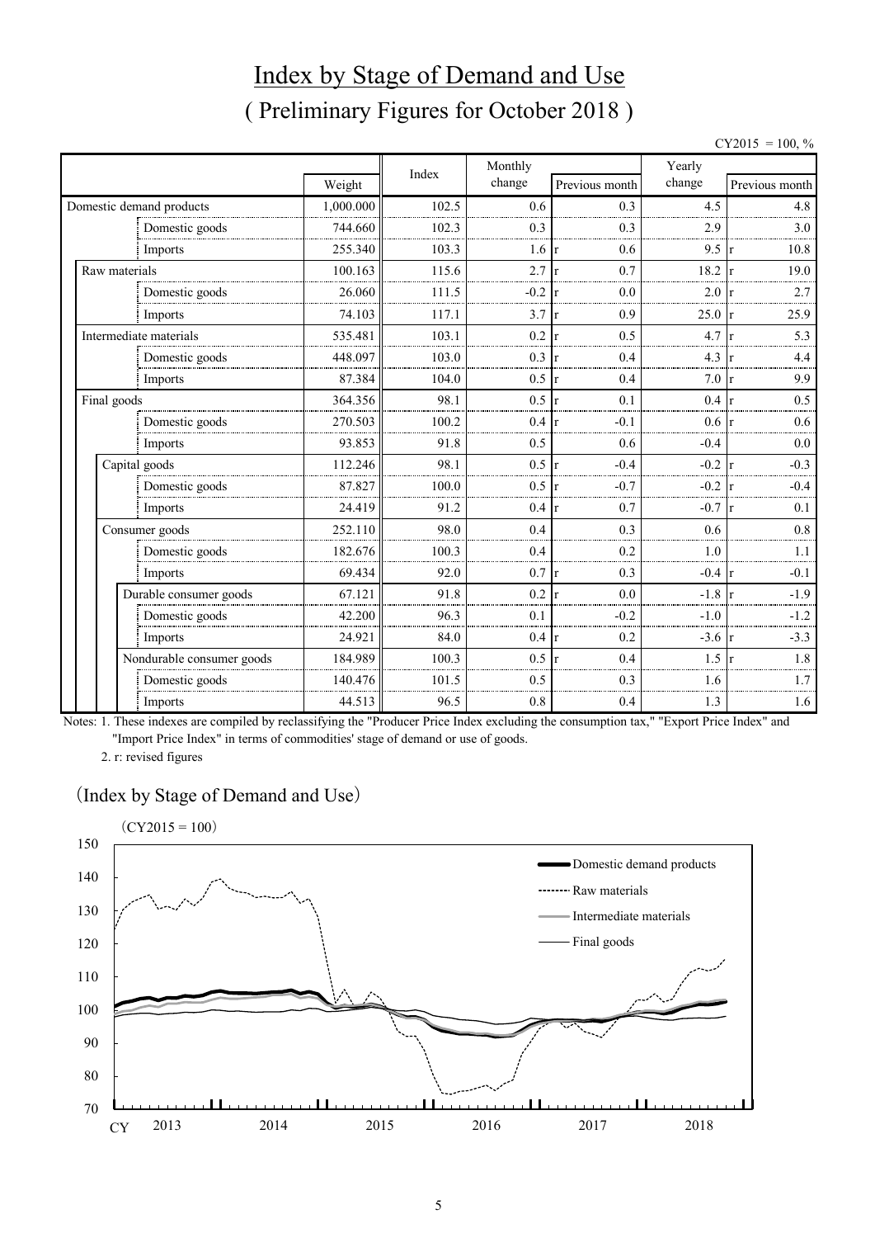# Index by Stage of Demand and Use ( Preliminary Figures for October 2018 )

 $CY2015 = 100, \%$ 

|               |                           |           | Index | Monthly         |                     | Yearly   |                     |
|---------------|---------------------------|-----------|-------|-----------------|---------------------|----------|---------------------|
|               |                           | Weight    |       | change          | Previous month      | change   | Previous month      |
|               | Domestic demand products  | 1,000.000 | 102.5 | 0.6             | 0.3                 | 4.5      | 4.8                 |
|               | Domestic goods            | 744.660   | 102.3 | 0.3             | 0.3                 | 2.9      | 3.0                 |
|               | Imports                   | 255.340   | 103.3 | $1.6 \text{ r}$ | 0.6                 | 9.5      | 10.8                |
| Raw materials |                           | 100.163   | 115.6 | 2.7             | 0.7<br>$\mathbf{r}$ | 18.2     | 19.0                |
|               | Domestic goods            | 26.060    | 111.5 | $-0.2$          | 0.0<br>r            | 2.0      | 2.7                 |
|               | Imports                   | 74.103    | 117.1 | 3.7             | 0.9<br>r            | 25.0     | 25.9                |
|               | Intermediate materials    | 535.481   | 103.1 | 0.2             | 0.5<br>$\mathbf{r}$ | 4.7      | 5.3                 |
|               | Domestic goods            | 448.097   | 103.0 | 0.3             | 0.4<br>r            | 4.3      | 4.4                 |
|               | Imports                   | 87.384    | 104.0 | 0.5             | 0.4<br>r            | 7.0      | 9.9                 |
| Final goods   |                           | 364.356   | 98.1  | 0.5             | 0.1<br>$\mathbf{r}$ | 0.4      | 0.5                 |
|               | Domestic goods            | 270.503   | 100.2 | 0.4             | $-0.1$<br>l r       | 0.6      | 0.6<br>1r           |
|               | Imports                   | 93.853    | 91.8  | 0.5             | 0.6                 | $-0.4$   | 0.0                 |
|               | Capital goods             | 112.246   | 98.1  | 0.5             | $-0.4$<br>r         | $-0.2$   | $-0.3$              |
|               | Domestic goods            | 87.827    | 100.0 | 0.5             | $-0.7$<br>r         | $-0.2$   | $-0.4$              |
|               | Imports                   | 24.419    | 91.2  | 0.4             | 0.7<br>$\mathbf{r}$ | $-0.7$   | 0.1                 |
|               | Consumer goods            | 252.110   | 98.0  | 0.4             | 0.3                 | 0.6      | 0.8                 |
|               | Domestic goods            | 182.676   | 100.3 | 0.4             | 0.2                 | 1.0      | 1.1                 |
|               | Imports                   | 69.434    | 92.0  | 0.7             | 0.3<br>$\mathbf{r}$ | $-0.4$   | $-0.1$<br><b>Ir</b> |
|               | Durable consumer goods    | 67.121    | 91.8  | 0.2             | 0.0<br>r            | $-1.8$   | $-1.9$              |
|               | Domestic goods            | 42.200    | 96.3  | 0.1             | $-0.2$              | $-1.0$   | $-1.2$              |
|               | Imports                   | 24.921    | 84.0  | $0.4 \text{ r}$ | 0.2                 | $-3.6$ r | $-3.3$              |
|               | Nondurable consumer goods | 184.989   | 100.3 | 0.5             | 0.4<br>$\mathbf{r}$ | 1.5      | 1.8                 |
|               | Domestic goods            | 140.476   | 101.5 | 0.5             | 0.3                 | 1.6      | 1.7                 |
|               | Imports                   | 44.513    | 96.5  | 0.8             | 0.4                 | 1.3      | 1.6                 |

Notes: 1. These indexes are compiled by reclassifying the "Producer Price Index excluding the consumption tax," "Export Price Index" and "Import Price Index" in terms of commodities' stage of demand or use of goods.

2. r: revised figures

#### (Index by Stage of Demand and Use)

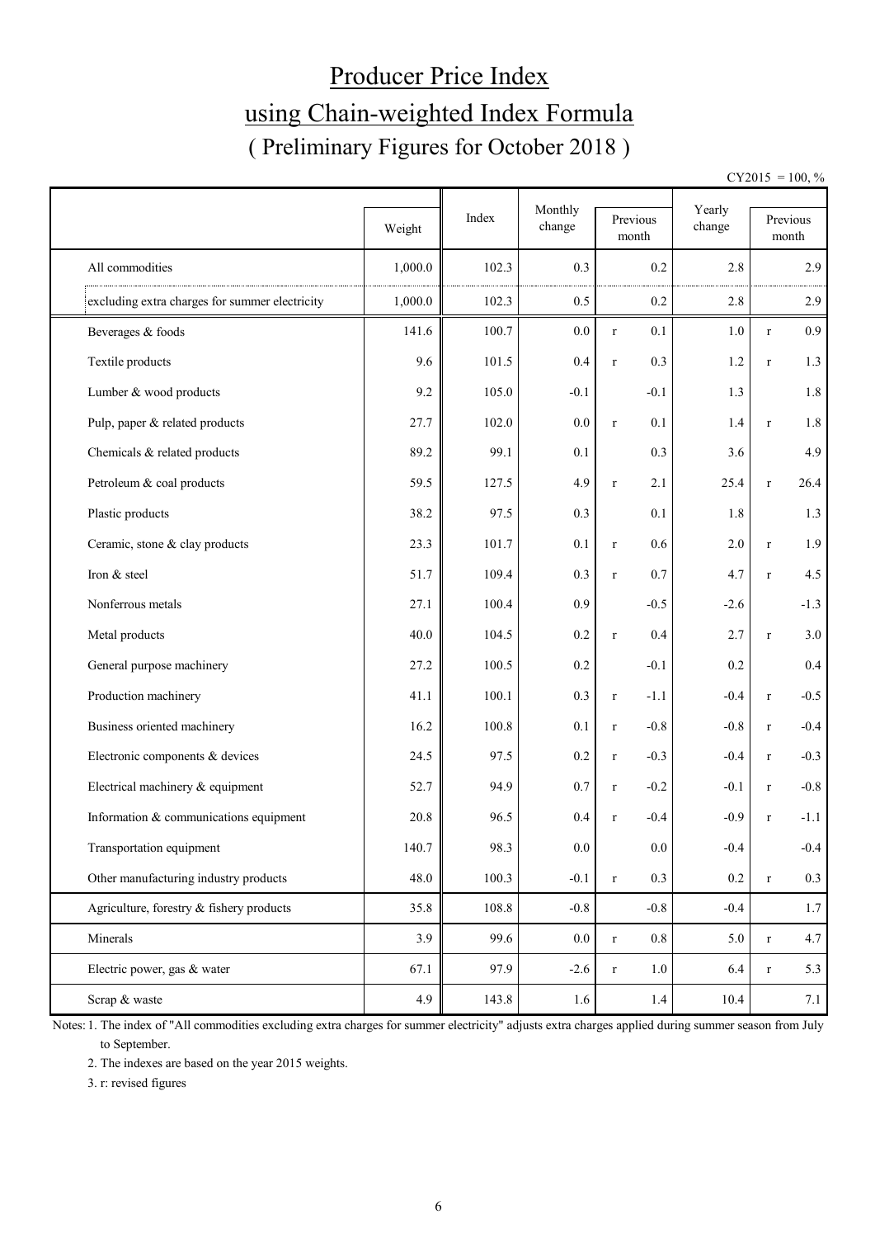# Producer Price Index using Chain-weighted Index Formula ( Preliminary Figures for October 2018 )

 $CY2015 = 100, \%$ 

|                                                |         |       | Monthly          |                        | Yearly |                        |
|------------------------------------------------|---------|-------|------------------|------------------------|--------|------------------------|
|                                                | Weight  | Index | change           | Previous<br>month      | change | Previous<br>month      |
| All commodities                                | 1,000.0 | 102.3 | 0.3              | 0.2                    | 2.8    | 2.9                    |
| excluding extra charges for summer electricity | 1,000.0 | 102.3 | 0.5              | 0.2                    | 2.8    | 2.9                    |
| Beverages & foods                              | 141.6   | 100.7 | 0.0              | 0.1<br>$\mathbf r$     | 1.0    | 0.9<br>$\mathbf r$     |
| Textile products                               | 9.6     | 101.5 | 0.4              | 0.3<br>$\mathbf r$     | 1.2    | 1.3<br>$\mathbf{r}$    |
| Lumber & wood products                         | 9.2     | 105.0 | $-0.1$           | $-0.1$                 | 1.3    | $1.8\,$                |
| Pulp, paper & related products                 | 27.7    | 102.0 | 0.0              | 0.1<br>$\mathbf r$     | 1.4    | 1.8<br>$\mathbf r$     |
| Chemicals & related products                   | 89.2    | 99.1  | 0.1              | 0.3                    | 3.6    | 4.9                    |
| Petroleum & coal products                      | 59.5    | 127.5 | 4.9              | 2.1<br>$\mathbf r$     | 25.4   | 26.4<br>$\mathbf r$    |
| Plastic products                               | 38.2    | 97.5  | 0.3              | 0.1                    | 1.8    | 1.3                    |
| Ceramic, stone & clay products                 | 23.3    | 101.7 | 0.1              | 0.6<br>$\mathbf r$     | 2.0    | 1.9<br>$\mathbf r$     |
| Iron & steel                                   | 51.7    | 109.4 | 0.3              | 0.7<br>$\mathbf r$     | 4.7    | 4.5<br>$\mathbf r$     |
| Nonferrous metals                              | 27.1    | 100.4 | 0.9              | $-0.5$                 | $-2.6$ | $-1.3$                 |
| Metal products                                 | 40.0    | 104.5 | 0.2              | 0.4<br>$\mathbf r$     | 2.7    | 3.0<br>$\mathbf{r}$    |
| General purpose machinery                      | 27.2    | 100.5 | 0.2              | $-0.1$                 | 0.2    | 0.4                    |
| Production machinery                           | 41.1    | 100.1 | 0.3              | $-1.1$<br>$\mathbf r$  | $-0.4$ | $-0.5$<br>$\mathbf r$  |
| Business oriented machinery                    | 16.2    | 100.8 | 0.1              | $-0.8$<br>$\mathbf r$  | $-0.8$ | $-0.4$<br>$\mathbf r$  |
| Electronic components & devices                | 24.5    | 97.5  | 0.2              | $-0.3$<br>$\mathbf r$  | $-0.4$ | $-0.3$<br>$\mathbf{r}$ |
| Electrical machinery & equipment               | 52.7    | 94.9  | 0.7              | $-0.2$<br>$\mathbf r$  | $-0.1$ | $-0.8$<br>$\mathbf r$  |
| Information & communications equipment         | 20.8    | 96.5  | 0.4              | $-0.4$<br>$\mathbf r$  | $-0.9$ | $-1.1$<br>$\mathbf{r}$ |
| Transportation equipment                       | 140.7   | 98.3  | $0.0\,$          | 0.0                    | $-0.4$ | $-0.4$                 |
| Other manufacturing industry products          | 48.0    | 100.3 | $-0.1$           | $0.3\,$<br>$\mathbf r$ | 0.2    | 0.3<br>$\mathbf r$     |
| Agriculture, forestry & fishery products       | 35.8    | 108.8 | $-0.8$           | $-0.8$                 | $-0.4$ | 1.7                    |
| Minerals                                       | 3.9     | 99.6  | 0.0              | 0.8<br>$\mathbf r$     | 5.0    | 4.7<br>$\mathbf r$     |
| Electric power, gas & water                    | 67.1    | 97.9  | $-2.6$           | 1.0<br>$\mathbf r$     | 6.4    | 5.3<br>$\mathbf r$     |
| Scrap & waste                                  | 4.9     | 143.8 | $1.6\phantom{0}$ | 1.4                    | 10.4   | 7.1                    |

Notes: 1. The index of "All commodities excluding extra charges for summer electricity" adjusts extra charges applied during summer season from July to September.

2. The indexes are based on the year 2015 weights.

3. r: revised figures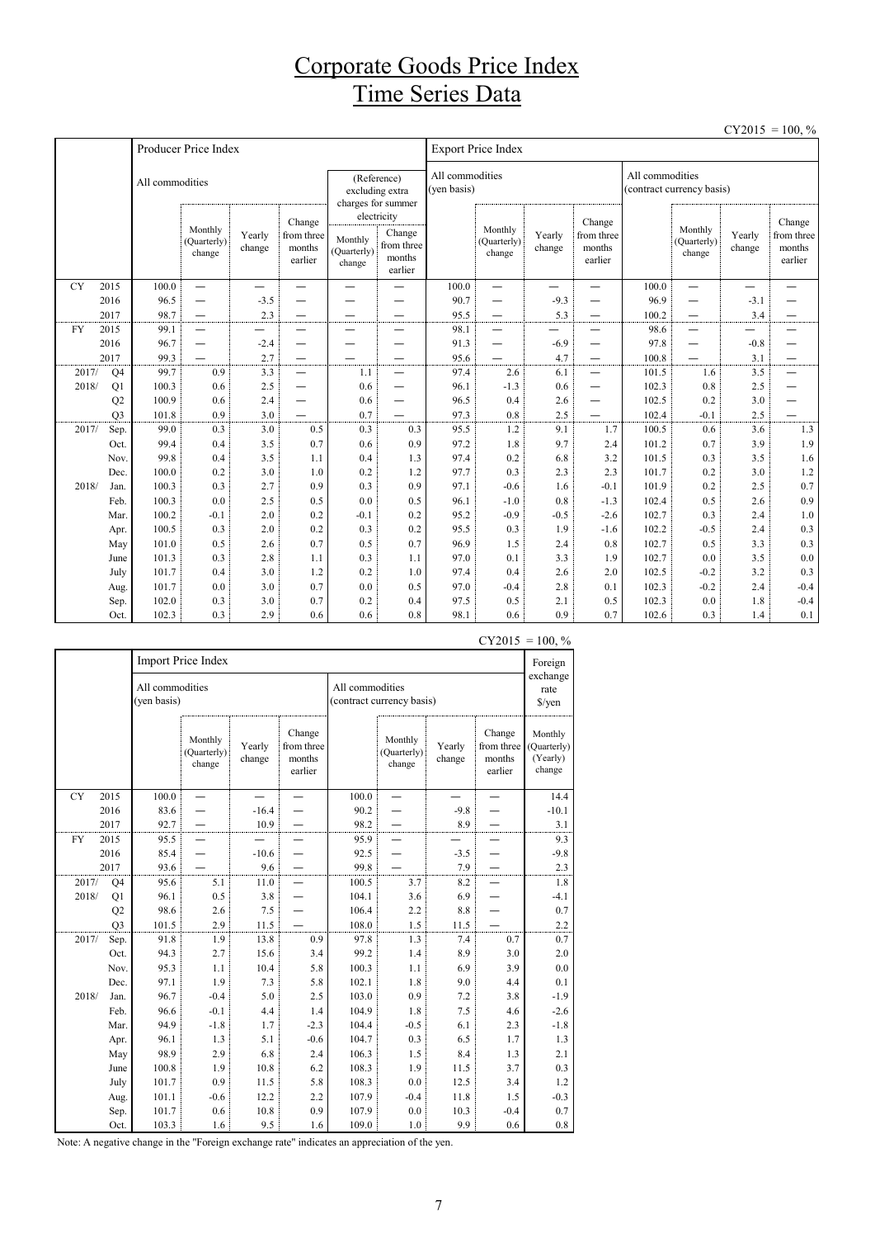## Corporate Goods Price Index Time Series Data

 $CY2015 = 100$  %

|           |                         |                 |                                  |                          |                                           |                                  |                                                          |                                |                                  |                          |                                           |                 |                                  | <b>0.2010</b>            | 100, 70                                   |
|-----------|-------------------------|-----------------|----------------------------------|--------------------------|-------------------------------------------|----------------------------------|----------------------------------------------------------|--------------------------------|----------------------------------|--------------------------|-------------------------------------------|-----------------|----------------------------------|--------------------------|-------------------------------------------|
|           |                         |                 | Producer Price Index             |                          |                                           |                                  |                                                          |                                | <b>Export Price Index</b>        |                          |                                           |                 |                                  |                          |                                           |
|           |                         | All commodities |                                  |                          |                                           |                                  | (Reference)<br>excluding extra<br>charges for summer     | All commodities<br>(ven basis) |                                  |                          |                                           | All commodities | (contract currency basis)        |                          |                                           |
|           |                         |                 | Monthly<br>(Ouarterly)<br>change | Yearly<br>change         | Change<br>from three<br>months<br>earlier | Monthly<br>(Quarterly)<br>change | electricity<br>Change<br>from three<br>months<br>earlier |                                | Monthly<br>(Quarterly)<br>change | Yearly<br>change         | Change<br>from three<br>months<br>earlier |                 | Monthly<br>(Quarterly)<br>change | Yearly<br>change         | Change<br>from three<br>months<br>earlier |
| <b>CY</b> | 2015                    | 100.0           | $\equiv$                         | $\overline{\phantom{0}}$ |                                           | $\overline{\phantom{0}}$         |                                                          | 100.0                          | $\overline{\phantom{0}}$         | $\overline{\phantom{0}}$ | $\overline{\phantom{0}}$                  | 100.0           | $\overline{\phantom{0}}$         | $\overline{\phantom{0}}$ |                                           |
|           | 2016                    | 96.5            | $\overline{\phantom{0}}$         | $-3.5$                   | —                                         |                                  |                                                          | 90.7                           | —                                | $-9.3$                   | —                                         | 96.9            | —                                | $-3.1$                   |                                           |
|           | 2017                    | 98.7            | $\overline{\phantom{0}}$         | 2.3                      |                                           |                                  |                                                          | 95.5                           | $\overline{\phantom{0}}$         | 5.3                      |                                           | 100.2           | $\equiv$                         | 3.4                      |                                           |
| <b>FY</b> | 2015                    | 99.1            | $\overline{\phantom{0}}$         |                          | -                                         | -                                |                                                          | 98.1                           | $\overline{\phantom{0}}$         | $\overline{\phantom{0}}$ | $\overline{\phantom{0}}$                  | 98.6            | —                                | -                        |                                           |
|           | 2016                    | 96.7            | —                                | $-2.4$                   | —                                         |                                  |                                                          | 91.3                           | —                                | $-6.9$                   | —                                         | 97.8            | —                                | $-0.8$                   |                                           |
|           | 2017                    | 99.3            |                                  | 2.7                      | $\overline{\phantom{0}}$                  |                                  |                                                          | 95.6                           |                                  | 4.7                      | —                                         | 100.8           |                                  | 3.1                      |                                           |
|           | 2017/<br>Q <sub>4</sub> | 99.7            | 0.9                              | 3.3                      | $\overline{\phantom{0}}$                  | 1.1                              | $\overline{\phantom{0}}$                                 | 97.4                           | 2.6                              | 6.1                      | —                                         | 101.5           | 1.6                              | 3.5                      |                                           |
|           | Q1<br>2018/             | 100.3           | 0.6                              | 2.5                      | —                                         | 0.6                              | $\overline{\phantom{0}}$                                 | 96.1                           | $-1.3$                           | 0.6                      | —                                         | 102.3           | 0.8                              | 2.5                      |                                           |
|           | Q <sub>2</sub>          | 100.9           | 0.6                              | 2.4                      | —                                         | 0.6                              | $\overline{\phantom{0}}$                                 | 96.5                           | 0.4                              | 2.6                      | —                                         | 102.5           | 0.2                              | 3.0                      |                                           |
|           | O <sub>3</sub>          | 101.8           | 0.9                              | 3.0                      |                                           | 0.7                              |                                                          | 97.3                           | 0.8                              | 2.5                      |                                           | 102.4           | $-0.1$                           | 2.5                      |                                           |
|           | 2017/<br>Sep.           | 99.0            | 0.3                              | 3.0                      | 0.5                                       | 0.3                              | 0.3                                                      | 95.5                           | 1.2                              | 9.1                      | 1.7                                       | 100.5           | 0.6                              | 3.6                      | 1.3                                       |
|           | Oct.                    | 99.4            | 0.4                              | 3.5                      | 0.7                                       | 0.6                              | 0.9                                                      | 97.2                           | 1.8                              | 9.7                      | 2.4                                       | 101.2           | 0.7                              | 3.9                      | 1.9                                       |
|           | Nov.                    | 99.8            | 0.4                              | 3.5                      | 1.1                                       | 0.4                              | 1.3                                                      | 97.4                           | 0.2                              | 6.8                      | 3.2                                       | 101.5           | 0.3                              | 3.5                      | 1.6                                       |
|           | Dec.                    | 100.0           | 0.2                              | 3.0                      | 1.0                                       | 0.2                              | 1.2                                                      | 97.7                           | 0.3                              | 2.3                      | 2.3                                       | 101.7           | 0.2                              | 3.0                      | 1.2                                       |
|           | 2018/<br>Jan.           | 100.3           | 0.3                              | 2.7                      | 0.9                                       | 0.3                              | 0.9                                                      | 97.1                           | $-0.6$                           | 1.6                      | $-0.1$                                    | 101.9           | 0.2                              | 2.5                      | 0.7                                       |
|           | Feb.                    | 100.3           | 0.0                              | 2.5                      | 0.5                                       | 0.0                              | 0.5                                                      | 96.1                           | $-1.0$                           | 0.8                      | $-1.3$                                    | 102.4           | 0.5                              | 2.6                      | 0.9                                       |
|           | Mar.                    | 100.2           | $-0.1$                           | 2.0                      | 0.2                                       | $-0.1$                           | 0.2                                                      | 95.2                           | $-0.9$                           | $-0.5$                   | $-2.6$                                    | 102.7           | 0.3                              | 2.4                      | 1.0                                       |
|           | Apr.                    | 100.5           | 0.3                              | 2.0                      | 0.2                                       | 0.3                              | 0.2                                                      | 95.5                           | 0.3                              | 1.9                      | $-1.6$                                    | 102.2           | $-0.5$                           | 2.4                      | 0.3                                       |
|           | May                     | 101.0           | 0.5                              | 2.6                      | 0.7                                       | 0.5                              | 0.7                                                      | 96.9                           | 1.5                              | 2.4                      | 0.8                                       | 102.7           | 0.5                              | 3.3                      | 0.3                                       |
|           | June                    | 101.3           | 0.3                              | 2.8                      | 1.1                                       | 0.3                              | 1.1                                                      | 97.0                           | 0.1                              | 3.3                      | 1.9                                       | 102.7           | 0.0                              | 3.5                      | $0.0\,$                                   |
|           | July                    | 101.7           | 0.4                              | 3.0                      | 1.2                                       | 0.2                              | 1.0                                                      | 97.4                           | 0.4                              | 2.6                      | 2.0                                       | 102.5           | $-0.2$                           | 3.2                      | 0.3                                       |
|           | Aug.                    | 101.7           | 0.0                              | 3.0                      | 0.7                                       | 0.0                              | 0.5                                                      | 97.0                           | $-0.4$                           | 2.8                      | 0.1                                       | 102.3           | $-0.2$                           | 2.4                      | $-0.4$                                    |
|           | Sep.                    | 102.0           | 0.3                              | 3.0                      | 0.7                                       | 0.2                              | 0.4                                                      | 97.5                           | 0.5                              | 2.1                      | 0.5                                       | 102.3           | 0.0                              | 1.8                      | $-0.4$                                    |
|           | Oct.                    | 102.3           | 0.3                              | 2.9                      | 0.6                                       | 0.6                              | 0.8                                                      | 98.1                           | 0.6                              | 0.9                      | 0.7                                       | 102.6           | 0.3                              | 1.4                      | 0.1                                       |

|           |                |                                | <b>Import Price Index</b>        |                  |                                           |                 |                                  |                  | - 1 - 0 1 -                                | 100, 70<br>Foreign                           |
|-----------|----------------|--------------------------------|----------------------------------|------------------|-------------------------------------------|-----------------|----------------------------------|------------------|--------------------------------------------|----------------------------------------------|
|           |                | All commodities<br>(yen basis) |                                  |                  |                                           | All commodities | (contract currency basis)        |                  | exchange<br>rate<br>$\sqrt{\frac{2}{\pi}}$ |                                              |
|           |                |                                | Monthly<br>(Quarterly)<br>change | Yearly<br>change | Change<br>from three<br>months<br>earlier |                 | Monthly<br>(Quarterly)<br>change | Yearly<br>change | Change<br>from three<br>months<br>earlier  | Monthly<br>(Quarterly)<br>(Yearly)<br>change |
| <b>CY</b> | 2015           | 100.0                          |                                  |                  |                                           | 100.0           |                                  |                  |                                            | 14.4                                         |
|           | 2016           | 83.6                           |                                  | $-16.4$          |                                           | 90.2            |                                  | $-9.8$           |                                            | $-10.1$                                      |
|           | 2017           | 92.7                           |                                  | 10.9             |                                           | 98.2            |                                  | 8.9              |                                            | 3.1                                          |
| <b>FY</b> | 2015           | 95.5                           |                                  |                  |                                           | 95.9            |                                  |                  |                                            | 9.3                                          |
|           | 2016           | 85.4                           |                                  | $-10.6$          |                                           | 92.5            |                                  | $-3.5$           |                                            | $-9.8$                                       |
|           | 2017           | 93.6                           |                                  | 9.6              |                                           | 99.8            |                                  | 7.9              |                                            | $2.3\,$                                      |
|           | 2017/<br>Q4    | 95.6                           | 5.1                              | 11.0             |                                           | 100.5           | 3.7                              | 8.2              |                                            | 1.8                                          |
|           | 2018/<br>Q1    | 96.1                           | 0.5                              | 3.8              |                                           | 104.1           | 3.6                              | 6.9              |                                            | $-4.1$                                       |
|           | Q2             | 98.6                           | 2.6                              | 7.5              |                                           | 106.4           | 2.2                              | 8.8              |                                            | 0.7                                          |
|           | O <sub>3</sub> | 101.5                          | 2.9                              | 11.5             |                                           | 108.0           | 1.5                              | 11.5             |                                            | $2.2\,$                                      |
|           | 2017/<br>Sep.  | 91.8                           | 1.9                              | 13.8             | 0.9                                       | 97.8            | 1.3                              | 7.4              | 0.7                                        | 0.7                                          |
|           | Oct.           | 94.3                           | 2.7                              | 15.6             | 3.4                                       | 99.2            | 1.4                              | 8.9              | 3.0                                        | 2.0                                          |
|           | Nov.           | 95.3                           | 1.1                              | 10.4             | 5.8                                       | 100.3           | 1.1                              | 6.9              | 3.9                                        | 0.0                                          |
|           | Dec.           | 97.1                           | 1.9                              | 7.3              | 5.8                                       | 102.1           | 1.8                              | 9.0              | 4.4                                        | 0.1                                          |
|           | 2018/<br>Jan.  | 96.7                           | $-0.4$                           | 5.0              | 2.5                                       | 103.0           | 0.9                              | 7.2              | 3.8                                        | $-1.9$                                       |
|           | Feb.           | 96.6                           | $-0.1$                           | 4.4              | 1.4                                       | 104.9           | 1.8                              | 7.5              | 4.6                                        | $-2.6$                                       |
|           | Mar.           | 94.9                           | $-1.8$                           | 1.7              | $-2.3$                                    | 104.4           | $-0.5$                           | 6.1              | 2.3                                        | $-1.8$                                       |
|           | Apr.           | 96.1                           | 1.3                              | 5.1              | $-0.6$                                    | 104.7           | 0.3                              | 6.5              | 1.7                                        | 1.3                                          |
|           | May            | 98.9                           | 2.9                              | 6.8              | 2.4                                       | 106.3           | 1.5                              | 8.4              | 1.3                                        | 2.1                                          |
|           | June           | 100.8                          | 1.9                              | 10.8             | 6.2                                       | 108.3           | 1.9                              | 11.5             | 3.7                                        | 0.3                                          |
|           | July           | 101.7                          | 0.9                              | 11.5             | 5.8                                       | 108.3           | 0.0                              | 12.5             | 3.4                                        | 1.2                                          |
|           | Aug.           | 101.1                          | $-0.6$                           | 12.2             | 2.2                                       | 107.9           | $-0.4$                           | 11.8             | 1.5                                        | $-0.3$                                       |
|           | Sep.           | 101.7                          | 0.6                              | 10.8             | 0.9                                       | 107.9           | 0.0                              | 10.3             | $-0.4$                                     | 0.7                                          |
|           | Oct.           | 103.3                          | 1.6                              | 9.5              | 1.6                                       | 109.0           | 1.0                              | 9.9              | 0.6                                        | 0.8                                          |

#### $CY2015 = 100. %$

Note: A negative change in the "Foreign exchange rate" indicates an appreciation of the yen.